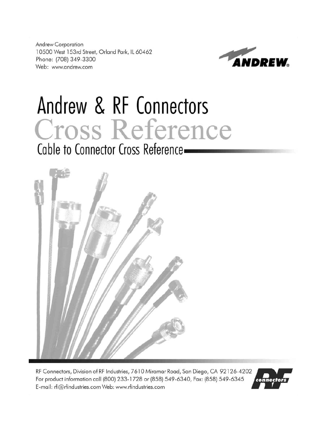**Andrew Corporation** 10500 West 153rd Street, Orland Park, IL 60462 Phone: (708) 349-3300 Web: www.andrew.com



# Andrew & RF Connectors Cross Reference Cable to Connector Cross Reference-



RF Connectors, Division of RF Industries, 7610 Miramar Road, San Diego, CA 92126-4202 For product information call (800) 233-1728 or (858) 549-6340, Fax: (858) 549-6345 E-mail: rfi@rfindustries.com Web: www.rfindustries.com

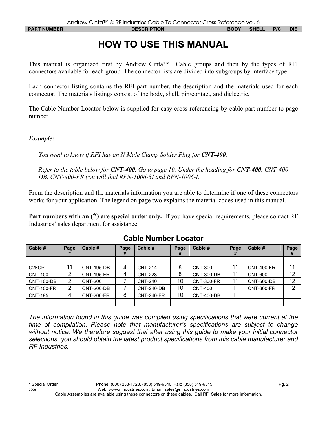# **HOW TO USE THIS MANUAL**

This manual is organized first by Andrew Cinta*™* Cable groups and then by the types of RFI connectors available for each group. The connector lists are divided into subgroups by interface type.

Each connector listing contains the RFI part number, the description and the materials used for each connector. The materials listings consist of the body, shell, pin/contact, and dielectric.

The Cable Number Locator below is supplied for easy cross-referencing by cable part number to page number.

#### *Example:*

*You need to know if RFI has an N Male Clamp Solder Plug for CNT-400.* 

*Refer to the table below for CNT-400. Go to page 10. Under the heading for CNT-400, CNT-400- DB, CNT-400-FR you will find RFN-1006-3I and RFN-1006-I.* 

From the description and the materials information you are able to determine if one of these connectors works for your application. The legend on page two explains the material codes used in this manual.

**Part numbers with an (\*) are special order only.** If you have special requirements, please contact RF Industries' sales department for assistance.

| Cable #                  | Page<br># | Cable #           | Page<br># | Cable #           | Page<br># | Cable #           | Page<br>Ħ | Cable #           | Page<br>Ħ |
|--------------------------|-----------|-------------------|-----------|-------------------|-----------|-------------------|-----------|-------------------|-----------|
|                          |           |                   |           |                   |           |                   |           |                   |           |
| C2FCP                    |           | <b>CNT-195-DB</b> | 4         | <b>CNT-214</b>    | 8         | <b>CNT-300</b>    |           | <b>CNT-400-FR</b> |           |
| <b>CNT-100</b>           |           | <b>CNT-195-FR</b> | 4         | <b>CNT-223</b>    | 8         | <b>CNT-300-DB</b> |           | <b>CNT-600</b>    | 12        |
| $\overline{C}$ NT-100-DB | 2         | <b>CNT-200</b>    |           | <b>CNT-240</b>    | 10        | <b>CNT-300-FR</b> |           | <b>CNT-600-DB</b> | 12        |
| <b>CNT-100-FR</b>        | 2         | <b>CNT-200-DB</b> |           | <b>CNT-240-DB</b> | 10        | <b>CNT-400</b>    |           | <b>CNT-600-FR</b> | 12        |
| <b>CNT-195</b>           | 4         | <b>CNT-200-FR</b> | 8         | <b>CNT-240-FR</b> | 10        | <b>CNT-400-DB</b> |           |                   |           |
|                          |           |                   |           |                   |           |                   |           |                   |           |

#### **Cable Number Locator**

*The information found in this guide was compiled using specifications that were current at the time of compilation. Please note that manufacturer's specifications are subject to change without notice. We therefore suggest that after using this guide to make your initial connector selections, you should obtain the latest product specifications from this cable manufacturer and RF Industries.*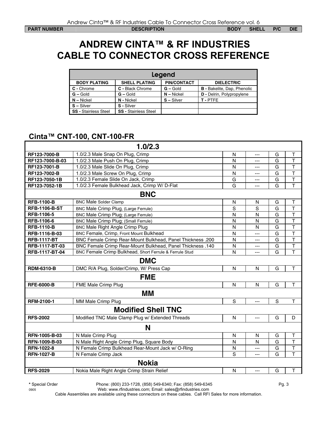## **ANDREW CINTA™ & RF INDUSTRIES CABLE TO CONNECTOR CROSS REFERENCE**

| Legend                      |                             |                    |                                    |  |  |  |  |  |
|-----------------------------|-----------------------------|--------------------|------------------------------------|--|--|--|--|--|
| <b>BODY PLATING</b>         | <b>SHELL PLATING</b>        | <b>PIN/CONTACT</b> | <b>DIELECTRIC</b>                  |  |  |  |  |  |
| C - Chrome                  | C - Black Chrome            | $G - Gold$         | <b>B</b> - Bakelite, Dap, Phenolic |  |  |  |  |  |
| $G -$ Gold                  | $G -$ Gold                  | $N - Nickel$       | <b>D</b> - Delrin, Polypropylene   |  |  |  |  |  |
| $N - Nickel$                | N - Nickel                  | $S - Silver$       | T-PTFE                             |  |  |  |  |  |
| $S - Silver$                | S - Silver                  |                    |                                    |  |  |  |  |  |
| <b>SS - Stainless Steel</b> | <b>SS - Stainless Steel</b> |                    |                                    |  |  |  |  |  |

#### **Cinta™ CNT-100, CNT-100-FR**

| 1.0/2.3                                                                                 |              |                |   |                         |  |
|-----------------------------------------------------------------------------------------|--------------|----------------|---|-------------------------|--|
| 1.0/2.3 Male Snap On Plug, Crimp<br>RF123-7000-B                                        | N            | ---            | G | $\top$                  |  |
| RF123-7000-B-03<br>1.0/2.3 Male Push On Plug, Crimp                                     | N            | ---            | G | $\overline{\mathsf{T}}$ |  |
| RF123-7001-B<br>1.0/2.3 Male Slide On Plug, Crimp                                       | N            | ---            | G | $\mathsf T$             |  |
| RF123-7002-B<br>1.0/2.3 Male Screw On Plug, Crimp                                       | N            | $---$          | G | $\overline{\mathsf{T}}$ |  |
| 1.0/2.3 Female Slide On Jack, Crimp<br>RF123-7050-1B                                    | G            | ---            | G | $\overline{\mathsf{T}}$ |  |
| 1.0/2.3 Female Bulkhead Jack, Crimp W/ D-Flat<br>RF123-7052-1B                          | G            | $---$          | G | T                       |  |
| <b>BNC</b>                                                                              |              |                |   |                         |  |
| <b>RFB-1100-B</b><br><b>BNC Male Solder Clamp</b>                                       | $\mathsf{N}$ | $\mathsf{N}$   | G | T                       |  |
| <b>RFB-1106-B-ST</b><br>BNC Male Crimp Plug, (Large Ferrule)                            | S            | S              | G | T                       |  |
| <b>RFB-1106-5</b><br>BNC Male Crimp Plug; (Large Ferrule)                               | N            | N              | G | T                       |  |
| <b>RFB-1106-6</b><br>BNC Male Crimp Plug; (Small Ferrule)                               | N            | N              | G | T                       |  |
| <b>RFB-1110-B</b><br>BNC Male Right Angle Crimp Plug                                    | N            | N              | G | T                       |  |
| RFB-1116-B-03<br>BNC Female, Crimp, Front Mount Bulkhead                                | N            | $\overline{a}$ | G | $\top$                  |  |
| <b>RFB-1117-BT</b><br><b>BNC Female Crimp Rear-Mount Bulkhead, Panel Thickness .200</b> | N            | $---$          | G | T                       |  |
| <b>BNC Female Crimp Rear-Mount Bulkhead, Panel Thickness .140</b><br>RFB-1117-BT-03     | N            | $---$          | G | T                       |  |
| BNC Female Crimp Bulkhead, Short Ferrule & Ferrule Stud<br>RFB-1117-BT-04               | N            | $---$          | G | T                       |  |
| <b>DMC</b>                                                                              |              |                |   |                         |  |
| <b>RDM-6310-B</b><br>DMC R/A Plug, Solder/Crimp, W/ Press Cap                           | N            | N              | G | T                       |  |
| <b>FME</b>                                                                              |              |                |   |                         |  |
| <b>RFE-6000-B</b><br>FME Male Crimp Plug                                                | N            | N              | G | T                       |  |
| MМ                                                                                      |              |                |   |                         |  |
| RFM-2100-1<br>MM Male Crimp Plug                                                        | S            | ---            | S | T.                      |  |
| <b>Modified Shell TNC</b>                                                               |              |                |   |                         |  |
| <b>RFS-2002</b><br>Modified TNC Male Clamp Plug w/ Extended Threads                     | $\mathsf{N}$ | ---            | G | D                       |  |
| N                                                                                       |              |                |   |                         |  |
| RFN-1005-B-03<br>N Male Crimp Plug                                                      | N            | N              | G | т                       |  |
| RFN-1009-B-03<br>N Male Right Angle Crimp Plug, Square Body                             | N            | N              | G | $\mathsf T$             |  |
| <b>RFN-1022-8</b><br>N Female Crimp Bulkhead Rear-Mount Jack w/ O-Ring                  | N            | ---            | G | $\mathsf T$             |  |
| <b>RFN-1027-B</b><br>N Female Crimp Jack                                                | S            | $---$          | G | T                       |  |
| <b>Nokia</b>                                                                            |              |                |   |                         |  |
| <b>RFS-2029</b><br>Nokia Male Right Angle Crimp Strain Relief                           | N            | ---            | G | T                       |  |

**\*** Special Order Phone: (800) 233-1728, (858) 549-6340; Fax: (858) 549-6345 Pg. 3

0905 Web: www.rfindustries.com; Email: sales@rfindustries.com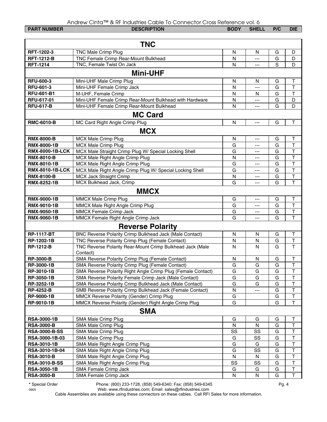|                        | Andrew Cinta™ & RF Industries Cable To Connector Cross Reference vol. 6 |              |              |     |                         |
|------------------------|-------------------------------------------------------------------------|--------------|--------------|-----|-------------------------|
| <b>PART NUMBER</b>     | <b>DESCRIPTION</b>                                                      | <b>BODY</b>  | <b>SHELL</b> | P/C | <b>DIE</b>              |
|                        |                                                                         |              |              |     |                         |
|                        | <b>TNC</b>                                                              |              |              |     |                         |
| RFT-1202-3             | TNC Male Crimp Plug                                                     | N            | N            | G   | D                       |
| <b>RFT-1212-B</b>      | TNC Female Crimp Rear-Mount Bulkhead                                    | N            | ---          | G   | D                       |
| <b>RFT-1214</b>        | TNC, Female Twist On Jack                                               | N            | ---          | S   | D                       |
|                        |                                                                         |              |              |     |                         |
|                        | <b>Mini-UHF</b>                                                         |              |              |     |                         |
| <b>RFU-600-3</b>       | Mini-UHF Male Crimp Plug                                                | N            | N            | G   | Τ                       |
| RFU-601-3              | Mini-UHF Female Crimp Jack                                              | N            | ---          | G   | T                       |
| <b>RFU-601-B1</b>      | M-UHF, Female Crimp                                                     | N            | N            | G   | T                       |
| RFU-617-01             | Mini-UHF Female Crimp Rear-Mount Bulkhead with Hardware                 | $\mathsf{N}$ | ---          | G   | D                       |
| <b>RFU-617-B</b>       | Mini-UHF Female Crimp Rear-Mount Bulkhead                               | N            | ---          | G   | D                       |
|                        | <b>MC Card</b>                                                          |              |              |     |                         |
| <b>RMC-6010-B</b>      | MC Card Right Angle Crimp Plug                                          | N            | ---          | G   | $\sf T$                 |
|                        |                                                                         |              |              |     |                         |
|                        | <b>MCX</b>                                                              |              |              |     |                         |
| <b>RMX-8000-B</b>      | MCX Male Crimp Plug                                                     | N            | ---          | G   | т                       |
| <b>RMX-8000-1B</b>     | <b>MCX Male Crimp Plug</b>                                              | G            | ---          | G   | $\overline{\mathsf{T}}$ |
| <b>RMX-8000-1B-LCK</b> | MCX Male Straight Crimp Plug W/ Special Locking Shell                   | G            | ---          | G   | $\overline{\mathsf{T}}$ |
| <b>RMX-8010-B</b>      | MCX Male Right Angle Crimp Plug                                         | ${\sf N}$    | ---          | G   | $\overline{\mathsf{T}}$ |
| RMX-8010-1B            | MCX Male Right Angle Crimp Plug                                         | G            | ---          | G   | $\overline{\mathsf{T}}$ |
| <b>RMX-8010-1B-LCK</b> | MCX Male Right Angle Crimp Plug W/ Special Locking Shell                | G            | ---          | G   | $\overline{\mathsf{T}}$ |
| <b>RMX-8100-B</b>      | MCX Jack Straight Crimp                                                 | $\mathsf{N}$ | ---          | G   | $\overline{\mathsf{T}}$ |
| <b>RMX-8252-1B</b>     | MCX Bulkhead Jack, Crimp                                                | G            | ---          | G   | $\overline{\mathsf{T}}$ |
|                        | <b>MMCX</b>                                                             |              |              |     |                         |
| <b>RMX-9000-1B</b>     | MMCX Male Crimp Plug                                                    | G            | ---          | G   | $\top$                  |
| RMX-9010-1B            | MMCX Male Right Angle Crimp Plug                                        | G            | ---          | G   | $\overline{\mathsf{T}}$ |
| <b>RMX-9050-1B</b>     | MMCX Female Crimp Jack                                                  | G            | ---          | G   | T                       |
| <b>RMX-9060-1B</b>     | MMCX Female Right Angle Crimp Jack                                      | G            | ---          | G   | T                       |
|                        |                                                                         |              |              |     |                         |
|                        | <b>Reverse Polarity</b>                                                 |              |              |     |                         |
| <b>RP-1117-BT</b>      | BNC Reverse Polarity Crimp Bulkhead Jack (Male Contact)                 | $\mathsf{N}$ | N            | G   | Τ                       |
| RP-1202-1B             | TNC Reverse Polarity Crimp Plug (Female Contact)                        | N            | N            | G   | $\overline{\mathsf{T}}$ |
| <b>RP-1212-B</b>       | TNC Reverse Polarity Rear-Mount Crimp Bulkhead Jack (Male               | N            | N            | G   | T                       |
|                        | Contact)                                                                |              |              |     |                         |
| <b>RP-3000-B</b>       | SMA Reverse Polarity Crimp Plug (Female Contact)                        | ${\sf N}$    | ${\sf N}$    | G   | $\sf T$                 |
| RP-3000-1B             | SMA Reverse Polarity Crimp Plug (Female Contact)                        | G            | G            | G   | $\mathsf T$             |
| RP-3010-1B             | SMA Reverse Polarity Right Angle Crimp Plug (Female Contact)            | G            | G            | G   | $\mathsf T$             |
| RP-3050-1B             | SMA Reverse Polarity Female Crimp Jack (Male Contact)                   | G            | G            | G   | $\top$                  |
| RP-3252-1B             | SMA Reverse Polarity Crimp Bulkhead Jack (Male Contact)                 | G            | G            | G   | $\top$                  |
| <b>RP-4252-B</b>       | SMB Reverse Polarity Crimp Bulkhead Jack (Female Contact)               | N            |              | G   | T                       |
| RP-9000-1B             | MMCX Reverse Polarity (Gender) Crimp Plug                               | G            |              | G   | $\sf T$                 |
| RP-9010-1B             | MMCX Reverse Polarity (Gender) Right Angle Crimp Plug                   | G            |              | G   | T                       |
|                        | <b>SMA</b>                                                              |              |              |     |                         |
|                        |                                                                         |              |              |     | T                       |
| <b>RSA-3000-1B</b>     | SMA Male Crimp Plug                                                     | G            | G            | G   | T                       |
| <b>RSA-3000-B</b>      | SMA Male Crimp Plug                                                     | N            | N            | G   | $\top$                  |
| <b>RSA-3000-B-SS</b>   | SMA Male Crimp Plug                                                     | SS           | SS           | G   |                         |
| RSA-3000-1B-03         | SMA Male Crimp Plug                                                     | G            | SS           | G   | T                       |
| <b>RSA-3010-1B</b>     | SMA Male Right Angle Crimp Plug                                         | G            | G            | G   | T                       |
| RSA-3010-1B-04         | SMA Male Right Angle Crimp Plug                                         | G            | SS           | G   | T                       |
| <b>RSA-3010-B</b>      | SMA Male Right Angle Crimp Plug                                         | N            | N            | G   | T                       |
| <b>RSA-3010-B-SS</b>   | SMA Male Right Angle Crimp Plug                                         | SS           | SS           | G   | $\top$                  |
| <b>RSA-3050-1B</b>     | SMA Female Crimp Jack                                                   | G            | G            | G   | $\overline{\mathsf{T}}$ |
| <b>RSA-3050-B</b>      | SMA Female Crimp Jack                                                   | N            | N            | G   | $\mathsf T$             |

**\*** Special Order Phone: (800) 233-1728, (858) 549-6340; Fax: (858) 549-6345 Pg. 4

0905 Web: www.rfindustries.com; Email: sales@rfindustries.com Cable Assemblies are available using these connectors on these cables. Call RFI Sales for more information.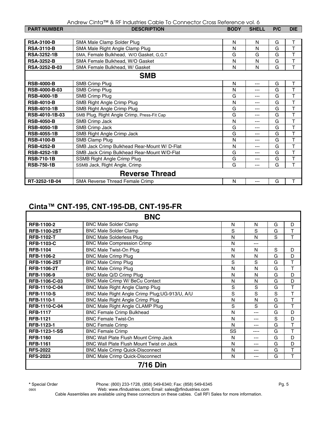| Andrew Cinta™ & RF Industries Cable To Connector Cross Reference vol. 6 |  |  |
|-------------------------------------------------------------------------|--|--|
|-------------------------------------------------------------------------|--|--|

| <b>PART NUMBER</b>   | <b>DESCRIPTION</b>                           | <b>BODY</b> | <b>SHELL</b> | P/C | <b>DIE</b> |  |  |
|----------------------|----------------------------------------------|-------------|--------------|-----|------------|--|--|
|                      |                                              |             |              |     |            |  |  |
| <b>RSA-3100-B</b>    | SMA Male Clamp Solder Plug                   | N           | N            | G   | Τ          |  |  |
| <b>RSA-3110-B</b>    | SMA Male Right Angle Clamp Plug              | N           | N            | G   | T          |  |  |
| <b>RSA-3252-1B</b>   | SMA, Female Bulkhead, W/O Gasket, G,G,T      | G           | G            | G   | T          |  |  |
| <b>RSA-3252-B</b>    | SMA Female Bulkhead, W/O Gasket              | N           | N            | G   | T          |  |  |
| RSA-3252-B-03        | SMA Female Bulkhead, W/ Gasket               | N           | N            | G   | T          |  |  |
| <b>SMB</b>           |                                              |             |              |     |            |  |  |
| <b>RSB-4000-B</b>    | <b>SMB Crimp Plug</b>                        | N           | ---          | G   | т          |  |  |
| <b>RSB-4000-B-03</b> | SMB Crimp Plug                               | N           | ---          | G   | T          |  |  |
| <b>RSB-4000-1B</b>   | <b>SMB Crimp Plug</b>                        | G           | ---          | G   | T          |  |  |
| <b>RSB-4010-B</b>    | SMB Right Angle Crimp Plug                   | N           | ---          | G   | T          |  |  |
| <b>RSB-4010-1B</b>   | SMB Right Angle Crimp Plug                   | G           | ---          | G   | Τ          |  |  |
| RSB-4010-1B-03       | SMB Plug, Right Angle Crimp, Press-Fit Cap   | G           | ---          | G   | Τ          |  |  |
| <b>RSB-4050-B</b>    | SMB Crimp Jack                               | N           | ---          | G   | T          |  |  |
| <b>RSB-4050-1B</b>   | <b>SMB Crimp Jack</b>                        | G           | ---          | G   | T          |  |  |
| <b>RSB-4055-1B</b>   | SMB Right Angle Crimp Jack                   | G           | ---          | G   | T          |  |  |
| <b>RSB-4100-B</b>    | SMB Clamp Plug                               | N           | ---          | G   | T          |  |  |
| <b>RSB-4252-B</b>    | SMB Jack Crimp Bulkhead Rear-Mount W/ D-Flat | N           | ---          | G   | T          |  |  |
| <b>RSB-4252-1B</b>   | SMB Jack Crimp Bulkhead Rear-Mount W/D-Flat  | G           | ---          | G   | T          |  |  |
| <b>RSB-710-1B</b>    | SSMB Right Angle Crimp Plug                  | G           | ---          | G   | T          |  |  |
| <b>RSB-750-1B</b>    | SSMB Jack, Right Angle, Crimp                | G           | ---          | G   | T          |  |  |
|                      | <b>Reverse Thread</b>                        |             |              |     |            |  |  |
| RT-3252-1B-04        | SMA Reverse Thread Female Crimp              | N           | ---          | G   | Τ          |  |  |

#### **Cinta™ CNT-195, CNT-195-DB, CNT-195-FR**

|                      | <b>BNC</b>                                      |    |         |   |   |
|----------------------|-------------------------------------------------|----|---------|---|---|
| RFB-1100-2           | <b>BNC Male Solder Clamp</b>                    | N  | N       | G | D |
| <b>RFB-1100-2ST</b>  | <b>BNC Male Solder Clamp</b>                    | S  | S       | G | T |
| <b>RFB-1102-T</b>    | <b>BNC Male Solderless Plug</b>                 | N  | N       | S | T |
| <b>RFB-1103-C</b>    | <b>BNC Male Compression Crimp</b>               | N  | ---     |   |   |
| <b>RFB-1104</b>      | <b>BNC Male Twist-On Plug</b>                   | N  | N       | S | D |
| <b>RFB-1106-2</b>    | <b>BNC Male Crimp Plug</b>                      | N  | N       | G | D |
| <b>RFB-1106-2ST</b>  | <b>BNC Male Crimp Plug</b>                      | S  | S       | G | т |
| <b>RFB-1106-2T</b>   | <b>BNC Male Crimp Plug</b>                      | N  | N       | G | T |
| RFB-1106-9           | BNC Male Q/D Crimp Plug                         | N  | N       | G | D |
| RFB-1106-C-03        | BNC Male Crimp W/ BeCu Contact                  | N  | N       | G | D |
| RFB-1110-C-04        | <b>BNC Male Right Angle Clamp Plug</b>          | S  | S       | G | T |
| <b>RFB-1110-S</b>    | BNC Male Right Angle Crimp Plug; UG-913/U, A/U  | S  | S       | S | T |
| RFB-1110-1           | BNC Male Right Angle Crimp Plug                 | N  | N       | G | т |
| RFB-1110-C-04        | BNC Male Right Angle CLAMP Plug                 | S  | S       | G | T |
| <b>RFB-1117</b>      | <b>BNC Female Crimp Bulkhead</b>                | N  | ---     | G | D |
| <b>RFB-1121</b>      | <b>BNC Female Twist-On</b>                      | N  | ---     | S | D |
| RFB-1123-1           | <b>BNC Female Crimp</b>                         | N  | ---     | G | T |
| <b>RFB-1123-1-SS</b> | <b>BNC Female Crimp</b>                         | SS | ----    | G | T |
| <b>RFB-1160</b>      | BNC Wall Plate Flush Mount Crimp Jack           | N  | $- - -$ | G | D |
| <b>RFB-1161</b>      | <b>BNC Wall Plate Flush Mount Twist on Jack</b> | N  | ---     | G | D |
| <b>RFS-2022</b>      | <b>BNC Male Crimp Quick-Disconnect</b>          | N  | ---     | G | T |
| <b>RFS-2023</b>      | <b>BNC Male Crimp Quick-Disconnect</b>          | N  | ---     | G | T |
|                      | <b>7/16 Din</b>                                 |    |         |   |   |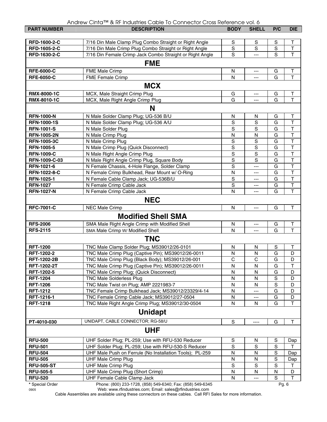|  |  |  | Andrew Cinta™ & RF Industries Cable To Connector Cross Reference vol. 6 |
|--|--|--|-------------------------------------------------------------------------|
|--|--|--|-------------------------------------------------------------------------|

| <b>PART NUMBER</b> | ANGW CING<br>a in industries cubie to contriector cross itereferice voi. O<br><b>DESCRIPTION</b> | <b>BODY</b>    | <b>SHELL</b>          | P/C            | <b>DIE</b>              |
|--------------------|--------------------------------------------------------------------------------------------------|----------------|-----------------------|----------------|-------------------------|
|                    |                                                                                                  |                |                       |                |                         |
| RFD-1600-2-C       | 7/16 Din Male Clamp Plug Combo Straight or Right Angle                                           | S              | S                     | S              | т                       |
| RFD-1605-2-C       | 7/16 Din Male Crimp Plug Combo Straight or Right Angle                                           | S              | S                     | $\mathbf S$    | $\mathsf{T}$            |
| RFD-1630-2-C       | 7/16 Din Female Crimp Jack Combo Straight or Right Angle                                         | S              |                       | S              | T                       |
|                    |                                                                                                  |                |                       |                |                         |
|                    | <b>FME</b>                                                                                       |                |                       |                |                         |
| <b>RFE-6000-C</b>  | FME Male Crimp                                                                                   | $\mathsf{N}$   | $\overline{a}$        | G              | $\sf T$                 |
| <b>RFE-6050-C</b>  | <b>FME Female Crimp</b>                                                                          | N              |                       | G              | $\overline{\mathsf{T}}$ |
|                    | <b>MCX</b>                                                                                       |                |                       |                |                         |
|                    |                                                                                                  |                |                       |                |                         |
| <b>RMX-8000-1C</b> | MCX, Male Straight Crimp Plug                                                                    | G<br>G         | ---                   | G<br>G         | Τ<br>T                  |
| RMX-8010-1C        | MCX, Male Right Angle Crimp Plug                                                                 |                | ---                   |                |                         |
|                    | N                                                                                                |                |                       |                |                         |
| <b>RFN-1000-N</b>  | N Male Solder Clamp Plug; UG-536 B/U                                                             | N              | N                     | G              | Τ                       |
| <b>RFN-1000-1S</b> | N Male Solder Clamp Plug; UG-536 A/U                                                             | $\mathbf S$    | S                     | G              | $\overline{\mathsf{T}}$ |
| <b>RFN-1001-S</b>  | N Male Solder Plug                                                                               | S              | S                     | G              | $\overline{\mathsf{T}}$ |
| <b>RFN-1005-2N</b> | N Male Crimp Plug                                                                                | N              | N                     | G              | $\overline{\mathsf{T}}$ |
| <b>RFN-1005-3C</b> | N Male Crimp Plug                                                                                | S              | S                     | $\overline{G}$ | $\overline{\mathsf{T}}$ |
| RFN-1005-5         | N Male Crimp Plug (Quick Disconnect)                                                             | $\mathbf S$    | S                     | G              | $\overline{\mathsf{T}}$ |
| <b>RFN-1009-C</b>  | N Male Right Angle Crimp Plug                                                                    | $\mathbf S$    | $\mathbf S$           | G              | $\overline{\mathsf{T}}$ |
| RFN-1009-C-03      | N Male Right Angle Crimp Plug, Square Body                                                       | $\mathbf S$    | S                     | G              | $\overline{\mathsf{T}}$ |
| RFN-1021-6         | N Female Chassis, 4-Hole Flange, Solder Clamp                                                    | $\mathbf S$    | ---                   | G              | $\overline{\mathsf{T}}$ |
| RFN-1022-8-C       | N Female Crimp Bulkhead, Rear Mount w/ O-Ring                                                    | N              | ---                   | G              | $\overline{\mathsf{T}}$ |
| RFN-1025-1         | N Female Cable Clamp Jack; UG-536B/U                                                             | S              | ---                   | G              | T                       |
| <b>RFN-1027</b>    | N Female Crimp Cable Jack                                                                        | S              | ---                   | G              | $\overline{\mathsf{T}}$ |
| <b>RFN-1027-N</b>  | N Female Crimp Cable Jack                                                                        | N              | ---                   | G              | T                       |
|                    | <b>NEC</b>                                                                                       |                |                       |                |                         |
|                    |                                                                                                  |                |                       |                |                         |
| <b>RFC-7001-C</b>  | <b>NEC Male Crimp</b>                                                                            | N              | $\overline{a}$        | G              | Т                       |
|                    | <b>Modified Shell SMA</b>                                                                        |                |                       |                |                         |
| <b>RFS-2006</b>    | SMA Male Right Angle Crimp with Modified Shell                                                   | N              | ---                   | G              | $\mathsf T$             |
| <b>RFS-2115</b>    | SMA Male Crimp W/ Modified Shell                                                                 | N              |                       | G              | T                       |
|                    | <b>TNC</b>                                                                                       |                |                       |                |                         |
|                    |                                                                                                  |                |                       |                |                         |
| <b>RFT-1200</b>    | TNC Male Clamp Solder Plug; MS39012/26-0101                                                      | N              | N                     | S              | T                       |
| RFT-1202-2         | TNC Male Crimp Plug (Captive Pin); MS39012/26-0011                                               | N              | N                     | G              | D                       |
| <b>RFT-1202-2B</b> | TNC Male Crimp Plug (Black Body); MS39012/26-001                                                 | $\overline{C}$ | $\overline{\text{c}}$ | G              | D                       |
| RFT-1202-2T        | TNC Male Crimp Plug (Captive Pin); MS39012/26-0011                                               | N              | N                     | G              | Τ                       |
| RFT-1202-5         | TNC Male Crimp Plug; (Quick Disconnect)                                                          | N              | N                     | G              | D                       |
| <b>RFT-1204</b>    | <b>TNC Male Solderless Plug</b>                                                                  | N              | N                     | $\mathbf S$    | D                       |
| <b>RFT-1206</b>    | TNC Male Twist on Plug; AMP 2221983-7                                                            | N              | N                     | S              | D                       |
| <b>RFT-1212</b>    | TNC Female Crimp Bulkhead Jack; MS39012/23329/4-14                                               | N              | ---                   | G              | D                       |
| RFT-1216-1         | TNC Female Crimp Cable Jack; MS39012/27-0504                                                     | N              | ---                   | G              | D                       |
| <b>RFT-1218</b>    | TNC Male Right Angle Crimp Plug; MS39012/30-0504                                                 | N              | N                     | G              | $\top$                  |
|                    | <b>Unidapt</b>                                                                                   |                |                       |                |                         |
| PT-4010-030        | UNIDAPT, CABLE CONNECTOR; RG-58/U                                                                | $\mathsf S$    | ----                  | G              | $\top$                  |
|                    | <b>UHF</b>                                                                                       |                |                       |                |                         |
| <b>RFU-500</b>     | UHF Solder Plug; PL-259; Use with RFU-530 Reducer                                                | S              | N                     | S              | Dap                     |
| <b>RFU-501</b>     | UHF Solder Plug; PL-259; Use with RFU-530-S Reducer                                              | ${\mathsf S}$  | $\mathsf S$           | $\mathbf S$    | т                       |
| <b>RFU-504</b>     | UHF Male Push on Ferrule (No Installation Tools); PL-259                                         | N              | N                     | $\mathbf S$    | Dap                     |
| <b>RFU-505</b>     | <b>UHF Male Crimp Plug</b>                                                                       | ${\sf N}$      | N                     | $\mathbf S$    | Dap                     |
| <b>RFU-505-ST</b>  | <b>UHF Male Crimp Plug</b>                                                                       | S              | $\mathbb S$           | $\mathbf S$    | Τ                       |
| <b>RFU-505-5</b>   | UHF Male Crimp Plug (Short Crimp)                                                                | ${\sf N}$      | N                     | N              | D                       |
| <b>RFU-520</b>     | UHF Female Cable Clamp Jack                                                                      | $\mathsf{N}$   | ---                   | ${\mathsf S}$  | T                       |
|                    |                                                                                                  |                |                       |                |                         |

**\*** Special Order Phone: (800) 233-1728, (858) 549-6340; Fax: (858) 549-6345 Pg. 6 0905 Web: www.rfindustries.com; Email: sales@rfindustries.com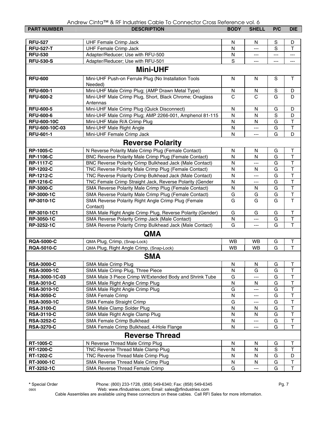| <b>PART NUMBER</b> | <b>DESCRIPTION</b>                                              | <b>BODY</b>  | <b>SHELL</b>         | P/C         | <b>DIE</b>              |
|--------------------|-----------------------------------------------------------------|--------------|----------------------|-------------|-------------------------|
|                    |                                                                 |              |                      |             |                         |
| <b>RFU-527</b>     | <b>UHF Female Crimp Jack</b>                                    | N            | N                    | S           | D                       |
| <b>RFU-527-T</b>   | <b>UHF Female Crimp Jack</b>                                    | N            | $\cdots$             | S           | T                       |
| <b>RFU-530</b>     | Adapter/Reducer; Use with RFU-500                               | N            | ---                  | ---         | ---                     |
| <b>RFU-530-S</b>   | Adapter/Reducer; Use with RFU-501                               | S            | ---                  | ---         | ---                     |
|                    | <b>Mini-UHF</b>                                                 |              |                      |             |                         |
| <b>RFU-600</b>     | Mini-UHF Push-on Ferrule Plug (No Installation Tools            | N            | N                    | S           | $\mathsf{T}$            |
|                    | Needed)                                                         |              |                      |             |                         |
| <b>RFU-600-1</b>   | Mini-UHF Male Crimp Plug; (AMP Drawn Metal Type)                | N            | N                    | $\mathbf S$ | D                       |
| <b>RFU-600-2</b>   | Mini-UHF Male Crimp Plug, Short, Black Chrome; Onaglass         | C            | C                    | G           | D                       |
|                    | Antennas                                                        |              |                      |             |                         |
| <b>RFU-600-5</b>   | Mini-UHF Male Crimp Plug (Quick Disconnect)                     | N            | N                    | G           | D                       |
| <b>RFU-600-6</b>   | Mini-UHF Male Crimp Plug; AMP 2266-001, Amphenol 81-115         | N            | N                    | S           | D                       |
| <b>RFU-600-10C</b> | Mini-UHF Male R/A Crimp Plug                                    | ${\sf N}$    | N                    | G           | $\mathsf T$             |
| RFU-600-10C-03     | Mini-UHF Male Right Angle                                       | N            | $---$                | G           | $\overline{\mathsf{T}}$ |
| <b>RFU-601-1</b>   | Mini-UHF Female Crimp Jack                                      | N            | ---                  | G           | D                       |
|                    | <b>Reverse Polarity</b>                                         |              |                      |             |                         |
| <b>RP-1005-C</b>   | N Reverse Polarity Male Crimp Plug (Female Contact)             | N            | N                    | G           | Т                       |
| <b>RP-1106-C</b>   | BNC Reverse Polarity Male Crimp Plug (Female Contact)           | N            | N                    | G           | $\overline{\mathsf{T}}$ |
| <b>RP-1117-C</b>   | BNC Reverse Polarity Crimp Bulkhead Jack (Male Contact)         | N            | ---                  | G           | $\overline{\mathsf{T}}$ |
| <b>RP-1202-C</b>   | TNC Reverse Polarity Male Crimp Plug (Female Contact)           | N            | N                    | G           | $\overline{\mathsf{T}}$ |
| <b>RP-1212-C</b>   | TNC Reverse Polarity Crimp Bulkhead Jack (Male Contact)         | N            | ---                  | G           | $\overline{\mathsf{T}}$ |
| <b>RP-1216-C</b>   | TNC Female Crimp Straight Jack, Reverse Polarity (Gender        | N            | ---                  | G           | $\overline{\mathsf{T}}$ |
| <b>RP-3000-C</b>   | SMA Reverse Polarity Male Crimp Plug (Female Contact)           | N            | N                    | G           | $\top$                  |
| RP-3000-1C         | SMA Reverse Polarity Male Crimp Plug (Female Contact)           | G            | G                    | G           | $\overline{\mathsf{T}}$ |
| RP-3010-1C         | SMA Reverse Polarity Right Angle Crimp Plug (Female<br>Contact) | G            | G                    | G           | $\overline{\mathsf{T}}$ |
| RP-3010-1C1        | SMA Male Right Angle Crimp Plug, Reverse Polarity (Gender)      | G            | G                    | G           | $\top$                  |
| RP-3050-1C         | SMA Reverse Polarity Crimp Jack (Male Contact)                  | $\mathsf{N}$ | ---                  | G           | $\overline{\mathsf{T}}$ |
| RP-3252-1C         | SMA Reverse Polarity Crimp Bulkhead Jack (Male Contact)         | G            | ---                  | G           | $\mathsf{T}$            |
|                    | <b>QMA</b>                                                      |              |                      |             |                         |
| <b>RQA-5000-C</b>  | QMA Plug, Crimp, (Snap-Lock)                                    | <b>WB</b>    | WB                   | G           | T                       |
| <b>RQA-5010-C</b>  | QMA Plug, Right Angle Crimp, (Snap-Lock)                        | <b>WB</b>    | <b>WB</b>            | G           | $\overline{\mathsf{T}}$ |
|                    | <b>SMA</b>                                                      |              |                      |             |                         |
| <b>RSA-3000-C</b>  | SMA Male Crimp Plug                                             | ${\sf N}$    | ${\sf N}$            | G           | $\top$                  |
| <b>RSA-3000-1C</b> | SMA Male Crimp Plug, Three Piece                                | N            | G                    | G           | T                       |
| RSA-3000-1C-03     | SMA Male 3 Piece Crimp W/Extended Body and Shrink Tube          | G            |                      | G           | T                       |
| <b>RSA-3010-C</b>  | SMA Male Right Angle Crimp Plug                                 | N            | N                    | G           | T                       |
| <b>RSA-3010-1C</b> | SMA Male Right Angle Crimp Plug                                 | G            | ---                  | G           | T                       |
| <b>RSA-3050-C</b>  | <b>SMA Female Crimp</b>                                         | N            | ---                  | G           | $\top$                  |
| <b>RSA-3050-1C</b> | SMA Female Straight Crimp                                       | G            |                      | G           | T                       |
| <b>RSA-3100-C</b>  | SMA Male Clamp Solder Plug                                      | Ν            | N                    | G           | $\mathsf{T}$            |
| <b>RSA-3110-C</b>  | SMA Male Right Angle Clamp Plug                                 | Ν            | N                    | G           | T                       |
| <b>RSA-3252-C</b>  | SMA Female Crimp Bulkhead                                       | N            | ---                  | G           | $\top$                  |
| <b>RSA-3270-C</b>  | SMA Female Crimp Bulkhead, 4-Hole Flange                        | N            | ---                  | G           | $\mathsf T$             |
|                    | <b>Reverse Thread</b>                                           |              |                      |             |                         |
| <b>RT-1005-C</b>   | N Reverse Thread Male Crimp Plug                                | N            | N                    | G           | $\top$                  |
| <b>RT-1200-C</b>   | TNC Reverse Thread Male Clamp Plug                              | N            | N                    | $\mathbf S$ | Т                       |
| RT-1202-C          | TNC Reverse Thread Male Crimp Plug                              | N            | N                    | G           | D                       |
| RT-3000-1C         | SMA Reverse Thread Male Crimp Plug                              | N            | N                    | G           | $\mathsf T$             |
| RT-3252-1C         | SMA Reverse Thread Female Crimp                                 | G            | $\scriptstyle\cdots$ | G           | $\mathsf{T}$            |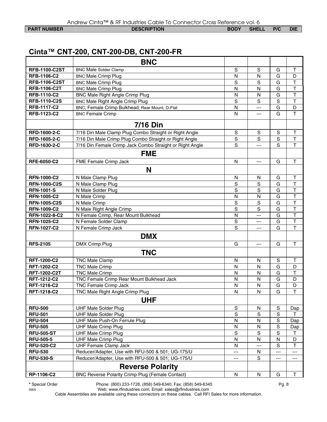**PART NUMBER DESCRIPTION BODY SHELL P/C DIE** 

## **Cinta™ CNT-200, CNT-200-DB, CNT-200-FR**

|                      | <b>BNC</b>                                               |                |                |                |                         |
|----------------------|----------------------------------------------------------|----------------|----------------|----------------|-------------------------|
| <b>RFB-1100-C2ST</b> | <b>BNC Male Solder Clamp</b>                             | $\mathbf S$    | S              | G              | Τ                       |
| <b>RFB-1106-C2</b>   | <b>BNC Male Crimp Plug</b>                               | N              | N              | G              | D                       |
| <b>RFB-1106-C2ST</b> | <b>BNC Male Crimp Plug</b>                               | S              | S              | G              | $\overline{\mathsf{T}}$ |
| <b>RFB-1106-C2T</b>  | <b>BNC Male Crimp Plug</b>                               | N              | $\mathsf{N}$   | G              | $\top$                  |
| <b>RFB-1110-C2</b>   | <b>BNC Male Right Angle Crimp Plug</b>                   | N              | $\mathsf{N}$   | G              | $\top$                  |
| <b>RFB-1110-C2S</b>  | <b>BNC Male Right Angle Crimp Plug</b>                   | S              | S              | $\mathbf S$    | T                       |
| <b>RFB-1117-C2</b>   | BNC, Female Crimp Bulkhead; Rear Mount, D-Flat           | N              | ---            | G              | D                       |
| RFB-1123-C2          | <b>BNC Female Crimp</b>                                  | N              | ---            | G              | $\overline{\mathsf{T}}$ |
|                      | <b>7/16 Din</b>                                          |                |                |                |                         |
| RFD-1600-2-C         | 7/16 Din Male Clamp Plug Combo Straight or Right Angle   | S              | S              | S              | Τ                       |
| RFD-1605-2-C         | 7/16 Din Male Crimp Plug Combo Straight or Right Angle   | $\overline{s}$ | $\overline{s}$ | $\overline{s}$ | $\overline{\mathsf{T}}$ |
| RFD-1630-2-C         | 7/16 Din Female Crimp Jack Combo Straight or Right Angle | S              | $---$          | S              | $\mathsf{T}$            |
|                      | <b>FME</b>                                               |                |                |                |                         |
| <b>RFE-6050-C2</b>   | FME Female Crimp Jack                                    | N              | ---            | G              | T                       |
|                      | N                                                        |                |                |                |                         |
| <b>RFN-1000-C2</b>   | N Male Clamp Plug                                        | N              | N              | G              | $\mathsf T$             |
| <b>RFN-1000-C2S</b>  | N Male Clamp Plug                                        | $\mathbf S$    | S              | G              | $\overline{\mathsf{T}}$ |
| <b>RFN-1001-S</b>    | N Male Solder Plug                                       | $\mathbf S$    | S              | G              | $\overline{\mathsf{T}}$ |
| <b>RFN-1005-C2</b>   | N Male Crimp                                             | N              | N              | G              | $\overline{\mathsf{T}}$ |
| <b>RFN-1005-C2S</b>  | N Male Crimp                                             | $\mathbf S$    | S              | G              | $\overline{\mathsf{T}}$ |
| <b>RFN-1009-C2</b>   | N Male Right Angle Crimp                                 | $\overline{s}$ | S              | G              | $\overline{\mathsf{T}}$ |
| RFN-1022-8-C2        | N Female Crimp, Rear Mount Bulkhead                      | N              | ---            | G              | $\overline{\mathsf{T}}$ |
| <b>RFN-1025-C2</b>   | N Female Solder Clamp                                    | $\mathbf S$    | ---            | G              | $\overline{\mathsf{T}}$ |
| <b>RFN-1027-C2</b>   | N Female Crimp Jack                                      | S              | $---$          | G              | $\overline{\mathsf{T}}$ |
|                      | <b>DMX</b>                                               |                |                |                |                         |
| <b>RFS-2105</b>      | DMX Crimp Plug                                           | G              | ---            | G              | $\mathsf T$             |
|                      | <b>TNC</b>                                               |                |                |                |                         |
| <b>RFT-1200-C2</b>   | <b>TNC Male Clamp</b>                                    | N              | N              | $\mathbf S$    | $\sf T$                 |
| <b>RFT-1202-C2</b>   | <b>TNC Male Crimp</b>                                    | N              | N              | G              | D                       |
| <b>RFT-1202-C2T</b>  | <b>TNC Male Crimp</b>                                    | N              | N              | G              | $\mathsf T$             |
| <b>RFT-1212-C2</b>   | TNC Female Crimp Rear Mount Bulkhead Jack                | N              | N              | G              | D                       |
| <b>RFT-1216-C2</b>   | TNC Female Crimp Jack                                    | N              | N              | G              | D                       |
| <b>RFT-1218-C2</b>   | TNC Male Right Angle Crimp Plug                          | N              | N              | G              | $\mathsf{T}$            |
|                      | <b>UHF</b>                                               |                |                |                |                         |
| <b>RFU-500</b>       | <b>UHF Male Solder Plug</b>                              | $\mathbf S$    | N              | ${\mathsf S}$  | Dap                     |
| <b>RFU-501</b>       | <b>UHF Male Solder Plug</b>                              | S              | S              | S              | т                       |
| <b>RFU-504</b>       | UHF Male Push-On Ferrule Plug                            | N              | N              | $\mathbf S$    | Dap                     |
| <b>RFU-505</b>       | <b>UHF Male Crimp Plug</b>                               | N              | N              | $\mathbf S$    | Dap                     |
| <b>RFU-505-ST</b>    | <b>UHF Male Crimp Plug</b>                               | $\mathbf S$    | S              | S              | Τ                       |
| <b>RFU-505-5</b>     | <b>UHF Male Crimp Plug</b>                               | N              | ${\sf N}$      | N              | D                       |
| <b>RFU-520-C2</b>    | <b>UHF Female Clamp Jack</b>                             | N              | ---            | $\mathbf S$    | $\top$                  |
| <b>RFU-530</b>       | Reducer/Adapter, Use with RFU-500 & 501; UG-175/U        | ---            | ${\sf N}$      | ---            | ---                     |
| <b>RFU-530-S</b>     | Reducer/Adapter, Use with RFU-500 & 501; UG-175/U        | ---            | S              | ---            | ---                     |
|                      | <b>Reverse Polarity</b>                                  |                |                |                |                         |
| RP-1106-C2           | <b>BNC Reverse Polarity Crimp Plug (Female Contact)</b>  | N              | ${\sf N}$      | G              | $\top$                  |

**\*** Special Order Phone: (800) 233-1728, (858) 549-6340; Fax: (858) 549-6345 Pg. 8

0905 Web: www.rfindustries.com; Email: sales@rfindustries.com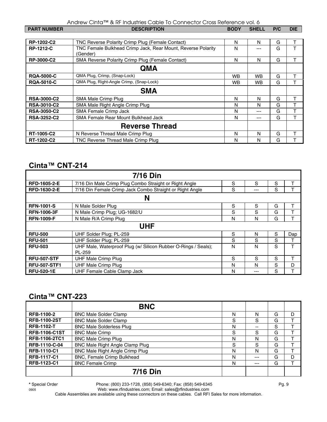| <b>PART NUMBER</b> | <b>DESCRIPTION</b>                                                       | <b>BODY</b> | <b>SHELL</b> | P/C | <b>DIE</b> |
|--------------------|--------------------------------------------------------------------------|-------------|--------------|-----|------------|
|                    |                                                                          |             |              |     |            |
| RP-1202-C2         | TNC Reverse Polarity Crimp Plug (Female Contact)                         | N           | N            | G   |            |
| <b>RP-1212-C</b>   | TNC Female Bulkhead Crimp Jack, Rear Mount, Reverse Polarity<br>(Gender) | N           | ---          | G   | т          |
| RP-3000-C2         | SMA Reverse Polarity Crimp Plug (Female Contact)                         | N           | N            | G   | Т          |
|                    | <b>QMA</b>                                                               |             |              |     |            |
| <b>RQA-5000-C</b>  | QMA Plug, Crimp, (Snap-Lock)                                             | <b>WB</b>   | WB.          | G   | T          |
| <b>RQA-5010-C</b>  | QMA Plug, Right-Angle Crimp, (Snap-Lock)                                 | <b>WB</b>   | <b>WB</b>    | G   | T          |
|                    | <b>SMA</b>                                                               |             |              |     |            |
| <b>RSA-3000-C2</b> | SMA Male Crimp Plug                                                      | N           | N            | G   |            |
| <b>RSA-3010-C2</b> | SMA Male Right Angle Crimp Plug                                          | N           | N            | G   | т          |
| <b>RSA-3050-C2</b> | SMA Female Crimp Jack                                                    | N           | ---          | G   | т          |
| <b>RSA-3252-C2</b> | SMA Female Rear Mount Bulkhead Jack                                      | N           | ---          | G   | Τ          |
|                    | <b>Reverse Thread</b>                                                    |             |              |     |            |
| RT-1005-C2         | N Reverse Thread Male Crimp Plug                                         | N           | N            | G   |            |
| RT-1202-C2         | TNC Reverse Thread Male Crimp Plug                                       | N           | N            | G   |            |

#### **Cinta™ CNT-214**

| <b>7/16 Din</b>     |                                                                |   |              |   |     |
|---------------------|----------------------------------------------------------------|---|--------------|---|-----|
| <b>RFD-1605-2-E</b> | 7/16 Din Male Crimp Plug Combo Straight or Right Angle         | S | S            | S |     |
| RFD-1630-2-E        | 7/16 Din Female Crimp Jack Combo Straight or Right Angle       | S | ---          | S |     |
|                     | N                                                              |   |              |   |     |
| <b>RFN-1001-S</b>   | N Male Solder Plug                                             | S | S            | G |     |
| <b>RFN-1006-3F</b>  | N Male Crimp Plug; UG-1682/U                                   | S | S            | G |     |
| <b>RFN-1009-F</b>   | N Male R/A Crimp Plug                                          | N | N            | G | T   |
| UHF                 |                                                                |   |              |   |     |
| <b>RFU-500</b>      | UHF Solder Plug; PL-259                                        | S | N            | S | Dap |
| <b>RFU-501</b>      | UHF Solder Plug; PL-259                                        | S | S            | S |     |
| <b>RFU-503</b>      | UHF Male, Waterproof Plug (w/ Silicon Rubber O-Rings / Seals); | N | N            | S | т   |
|                     | PL-259                                                         |   |              |   |     |
| <b>RFU-507-STF</b>  | <b>UHF Male Crimp Plug</b>                                     | S | <sub>S</sub> | S | т   |
| <b>RFU-507-STF1</b> | <b>UHF Male Crimp Plug</b>                                     | N | N            | S | D   |
| <b>RFU-520-1E</b>   | UHF Female Cable Clamp Jack                                    | N | ---          | S |     |

#### **Cinta***™* **CNT-223**

|                      | <b>BNC</b>                             |   |     |   |   |
|----------------------|----------------------------------------|---|-----|---|---|
| <b>RFB-1100-2</b>    | <b>BNC Male Solder Clamp</b>           | N | N   | G | D |
| <b>RFB-1100-2ST</b>  | <b>BNC Male Solder Clamp</b>           | S | S   | G |   |
| <b>RFB-1102-T</b>    | <b>BNC Male Solderless Plug</b>        | N | --  | S |   |
| <b>RFB-1106-C1ST</b> | <b>BNC Male Crimp</b>                  | S | S   | G |   |
| <b>RFB-1106-2TC1</b> | <b>BNC Male Crimp Plug</b>             | N | N   | G |   |
| RFB-1110-C-04        | BNC Male Right Angle Clamp Plug        | S | S   | G |   |
| <b>RFB-1110-C1</b>   | <b>BNC Male Right Angle Crimp Plug</b> | N | N   | G |   |
| <b>RFB-1117-C1</b>   | BNC, Female Crimp Bulkhead             | N | --- | G | D |
| RFB-1123-C1          | <b>BNC Female Crimp</b>                | N | --- | G |   |
|                      | <b>7/16 Din</b>                        |   |     |   |   |

**\*** Special Order Phone: (800) 233-1728, (858) 549-6340; Fax: (858) 549-6345 Pg. 9

0905 Web: www.rfindustries.com; Email: sales@rfindustries.com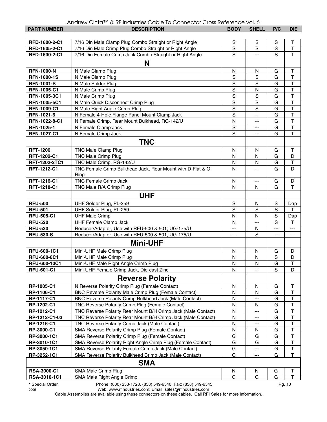|  |  |  | Andrew Cinta™ & RF Industries Cable To Connector Cross Reference vol. 6 |
|--|--|--|-------------------------------------------------------------------------|
|--|--|--|-------------------------------------------------------------------------|

| <b>PART NUMBER</b>         | <b>DESCRIPTION</b>                                                                                                    | <b>BODY</b>    | <b>SHELL</b>             | P/C            | <b>DIE</b>              |
|----------------------------|-----------------------------------------------------------------------------------------------------------------------|----------------|--------------------------|----------------|-------------------------|
|                            |                                                                                                                       |                |                          |                |                         |
| RFD-1600-2-C1              | 7/16 Din Male Clamp Plug Combo Straight or Right Angle                                                                | S              | S                        | S              | т                       |
| RFD-1605-2-C1              | 7/16 Din Male Crimp Plug Combo Straight or Right Angle                                                                | S              | S                        | S              | T                       |
| RFD-1630-2-C1              | 7/16 Din Female Crimp Jack Combo Straight or Right Angle                                                              | S              | ---                      | S              | T                       |
|                            | N                                                                                                                     |                |                          |                |                         |
| <b>RFN-1000-N</b>          | N Male Clamp Plug                                                                                                     | N              | N                        | G              | $\top$                  |
| <b>RFN-1000-1S</b>         | N Male Clamp Plug                                                                                                     | S              | $\mathbf S$              | G              | $\mathsf T$             |
| <b>RFN-1001-S</b>          | N Male Solder Plug                                                                                                    | S              | $\mathbf S$              | G              | $\top$                  |
| <b>RFN-1005-C1</b>         | N Male Crimp Plug                                                                                                     | S              | N                        | G              | T                       |
| RFN-1005-3C1               | N Male Crimp Plug                                                                                                     | $\overline{s}$ | ${\mathsf S}$            | G              | $\overline{\mathsf{T}}$ |
| RFN-1005-5C1               | N Male Quick Disconnect Crimp Plug                                                                                    | S              | $\mathbb S$              | G              | T                       |
| <b>RFN-1009-C1</b>         | N Male Right Angle Crimp Plug                                                                                         | $\overline{s}$ | $\mathbf S$              | G              | $\overline{\mathsf{T}}$ |
| RFN-1021-6                 | N Female 4-Hole Flange Panel Mount Clamp Jack                                                                         | S              | ---                      | G              | $\overline{\mathsf{T}}$ |
| RFN-1022-8-C1              | N Female Crimp, Rear Mount Bulkhead, RG-142/U                                                                         | $\mathsf{N}$   | ---                      | G              | T                       |
| RFN-1025-1                 | N Female Clamp Jack                                                                                                   | S              | ---                      | G              | $\overline{\mathsf{T}}$ |
| <b>RFN-1027-C1</b>         | N Female Crimp Jack                                                                                                   | S              | ---                      | G              | $\overline{\mathsf{T}}$ |
|                            | <b>TNC</b>                                                                                                            |                |                          |                |                         |
| <b>RFT-1200</b>            | TNC Male Clamp Plug                                                                                                   | N              | N                        | G              | т                       |
| RFT-1202-C1                | <b>TNC Male Crimp Plug</b>                                                                                            | N              | N                        | G              | D                       |
| RFT-1202-2TC1              | TNC Male Crimp, RG-142/U                                                                                              | N              | N                        | G              | $\mathsf T$             |
| RFT-1212-C1                | TNC Female Crimp Bulkhead Jack, Rear Mount with D-Flat & O-                                                           | N              | ---                      | G              | D                       |
|                            | Ring                                                                                                                  |                |                          |                |                         |
| RFT-1216-C1                | <b>TNC Female Crimp Jack</b>                                                                                          | N              | $\overline{a}$           | G              | D                       |
| RFT-1218-C1                | TNC Male R/A Crimp Plug                                                                                               | N              | N                        | G              | T                       |
|                            | <b>UHF</b>                                                                                                            |                |                          |                |                         |
| <b>RFU-500</b>             | UHF Solder Plug, PL-259                                                                                               | S              | N                        | S              | Dap                     |
| <b>RFU-501</b>             | UHF Solder Plug, PL-259                                                                                               | S              | S                        | $\overline{s}$ | т                       |
| <b>RFU-505-C1</b>          | <b>UHF Male Crimp</b>                                                                                                 | N              | N                        | S              | Dap                     |
| <b>RFU-520</b>             | <b>UHF Female Clamp Jack</b>                                                                                          | N              | ---                      | S              | т                       |
| <b>RFU-530</b>             | Reducer/Adapter, Use with RFU-500 & 501; UG-175/U                                                                     | ---            | N                        | $---$          | ---                     |
| <b>RFU-530-S</b>           | Reducer/Adapter, Use with RFU-500 & 501; UG-175/U                                                                     | ---            | S                        | ---            | ---                     |
|                            | <b>Mini-UHF</b>                                                                                                       |                |                          |                |                         |
| RFU-600-1C1                | Mini-UHF Male Crimp Plug                                                                                              | N              | N                        | G              | D                       |
| <b>RFU-600-6C1</b>         | Mini-UHF Male Crimp Plug                                                                                              | N              | N                        | $\mathbf S$    | D                       |
| RFU-600-10C1               | Mini-UHF Male Right Angle Crimp Plug                                                                                  | ${\sf N}$      | ${\sf N}$                | G              | $\overline{T}$          |
| <b>RFU-601-C1</b>          | Mini-UHF Female Crimp Jack, Die-cast Zinc                                                                             | N              | ---                      | S              | D                       |
|                            | <b>Reverse Polarity</b>                                                                                               |                |                          |                |                         |
| RP-1005-C1                 | N Reverse Polarity Crimp Plug (Female Contact)                                                                        | N              | N                        | G              | T                       |
| RP-1106-C1                 | BNC Reverse Polarity Male Crimp Plug (Female Contact)                                                                 | N              | N                        | G              | T                       |
| <b>RP-1117-C1</b>          | BNC Reverse Polarity Crimp Bulkhead Jack (Male Contact)                                                               | N              | ---                      | G              | T                       |
| RP-1202-C1                 | TNC Reverse Polarity Crimp Plug (Female Contact)                                                                      | N              | N                        | G              | T                       |
| RP-1212-C1                 | TNC Reverse Polarity Rear Mount B/H Crimp Jack (Male Contact)                                                         | N              | ---                      | G              | $\mathsf T$             |
| RP-1212-C1-03              | TNC Reverse Polarity Rear Mount B/H Crimp Jack (Male Contact)                                                         | N              | ---                      | G              | T                       |
| RP-1216-C1                 | TNC Reverse Polarity Crimp Jack (Male Contact)                                                                        | N              |                          | G              | T                       |
| RP-3000-C1                 | SMA Reverse Polarity Crimp Plug (Female Contact)                                                                      | N              | N                        | G              | $\mathsf T$             |
| RP-3000-1C1                | SMA Reverse Polarity Crimp Plug (Female Contact)                                                                      | G              | G                        | G              | T<br>T                  |
| RP-3010-1C1<br>RP-3050-1C1 | SMA Reverse Polarity Right Angle Crimp Plug (Female Contact)<br>SMA Reverse Polarity Female Crimp Jack (Male Contact) | G              | G<br>---                 | G              | T                       |
| RP-3252-1C1                | SMA Reverse Polarity Bulkhead Crimp Jack (Male Contact)                                                               | G<br>G         | $\overline{\phantom{a}}$ | G<br>G         | T                       |
|                            | <b>SMA</b>                                                                                                            |                |                          |                |                         |
| <b>RSA-3000-C1</b>         | SMA Male Crimp Plug                                                                                                   | N              | N                        | G              | т                       |
| RSA-3010-1C1               | SMA Male Right Angle Crimp                                                                                            | G              | G                        | G              | T                       |
| * Special Order            | Phone: (800) 233-1728, (858) 549-6340; Fax: (858) 549-6345                                                            |                |                          |                | Pg. 10                  |

0905 Web: www.rfindustries.com; Email: sales@rfindustries.com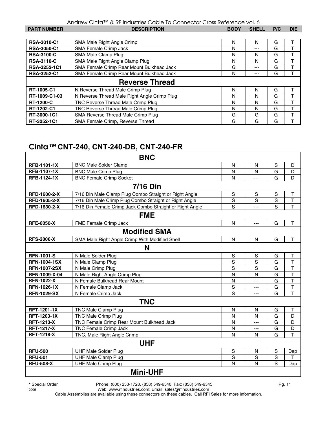| <b>PART NUMBER</b>    | <b>DESCRIPTION</b>                           | <b>BODY</b> | <b>SHELL</b> | P/C | <b>DIE</b> |
|-----------------------|----------------------------------------------|-------------|--------------|-----|------------|
|                       |                                              |             |              |     |            |
| <b>RSA-3010-C1</b>    | SMA Male Right Angle Crimp                   | N           | N            | G   |            |
| <b>RSA-3050-C1</b>    | <b>SMA Female Crimp Jack</b>                 | N           | $---$        | G   |            |
| <b>RSA-3100-C</b>     | SMA Male Clamp Plug                          | N           | N            | G   |            |
| <b>RSA-3110-C</b>     | SMA Male Right Angle Clamp Plug              | N           | N            | G   |            |
| RSA-3252-1C1          | SMA Female Crimp Rear Mount Bulkhead Jack    | G           | $---$        | G   |            |
| <b>RSA-3252-C1</b>    | SMA Female Crimp Rear Mount Bulkhead Jack    | N           | ---          | G   |            |
| <b>Reverse Thread</b> |                                              |             |              |     |            |
| RT-1005-C1            | N Reverse Thread Male Crimp Plug             | N           | N            | G   |            |
| RT-1009-C1-03         | N Reverse Thread Male Right Angle Crimp Plug | N           | N            | G   |            |
| <b>RT-1200-C</b>      | TNC Reverse Thread Male Crimp Plug           | N           | N            | G   |            |
| RT-1202-C1            | TNC Reverse Thread Male Crimp Plug           | N           | N            | G   |            |
| RT-3000-1C1           | SMA Reverse Thread Male Crimp Plug           | G           | G            | G   |            |
| RT-3252-1C1           | SMA Female Crimp, Reverse Thread             | G           | G            | G   |            |

## **Cinta***™* **CNT-240, CNT-240-DB, CNT-240-FR**

|                     | <b>BNC</b>                                               |              |                |                |                         |
|---------------------|----------------------------------------------------------|--------------|----------------|----------------|-------------------------|
| <b>RFB-1101-1X</b>  | <b>BNC Male Solder Clamp</b>                             | N            | N              | S              | D                       |
| <b>RFB-1107-1X</b>  | <b>BNC Male Crimp Plug</b>                               | N            | N              | $\overline{G}$ | D                       |
| <b>RFB-1124-1X</b>  | <b>BNC Female Crimp Socket</b>                           | $\mathsf{N}$ | ---            | G              | D                       |
|                     | <b>7/16 Din</b>                                          |              |                |                |                         |
| RFD-1600-2-X        | 7/16 Din Male Clamp Plug Combo Straight or Right Angle   | S            | S              | S              | T                       |
| RFD-1605-2-X        | 7/16 Din Male Crimp Plug Combo Straight or Right Angle   | S            | S              | S              | $\top$                  |
| RFD-1630-2-X        | 7/16 Din Female Crimp Jack Combo Straight or Right Angle | S            | $\overline{a}$ | S              | T                       |
|                     | <b>FME</b>                                               |              |                |                |                         |
| <b>RFE-6050-X</b>   | FME Female Crimp Jack                                    | $\mathsf{N}$ | ---            | G              | Τ                       |
|                     | <b>Modified SMA</b>                                      |              |                |                |                         |
| <b>RFS-2006-X</b>   | SMA Male Right Angle Crimp With Modified Shell           | N            | N              | G              | T                       |
|                     | N                                                        |              |                |                |                         |
| <b>RFN-1001-S</b>   | N Male Solder Plug                                       | S            | S              | G              | T                       |
| <b>RFN-1004-1SX</b> | N Male Clamp Plug                                        | S            | S              | G              | T                       |
| <b>RFN-1007-2SX</b> | N Male Crimp Plug                                        | S            | S              | G              | $\top$                  |
| RFN-1009-X-04       | N Male Right Angle Crimp Plug                            | N            | N              | G              | $\top$                  |
| <b>RFN-1022-X</b>   | N Female Bulkhead Rear Mount                             | N            | ---            | G              | $\overline{\mathsf{T}}$ |
| <b>RFN-1026-1X</b>  | N Female Clamp Jack                                      | S            | $---$          | G              | $\overline{\mathsf{T}}$ |
| <b>RFN-1029-SX</b>  | N Female Crimp Jack                                      | S            | ---            | G              | T                       |
|                     | <b>TNC</b>                                               |              |                |                |                         |
| <b>RFT-1201-1X</b>  | <b>TNC Male Clamp Plug</b>                               | N            | N              | G              | Τ                       |
| RFT-1203-1X         | <b>TNC Male Crimp Plug</b>                               | N            | N              | G              | D                       |
| <b>RFT-1213-X</b>   | TNC Female Crimp Rear Mount Bulkhead Jack                | N            | ---            | G              | D                       |
| <b>RFT-1217-X</b>   | TNC Female Crimp Jack                                    | N            | ---            | G              | D                       |
| <b>RFT-1218-X</b>   | TNC, Male Right Angle Crimp                              | N            | N              | G              | T                       |
|                     | <b>UHF</b>                                               |              |                |                |                         |
| <b>RFU-500</b>      | <b>UHF Male Solder Plug</b>                              | S            | N              | S              | Dap                     |
| <b>RFU-501</b>      | <b>UHF Male Clamp Plug</b>                               | S            | S              | S              | T.                      |
| <b>RFU-508-X</b>    | <b>UHF Male Crimp Plug</b>                               | N            | N              | S              | Dap                     |
|                     | <b>Mini-UHF</b>                                          |              |                |                |                         |

**\*** Special Order Phone: (800) 233-1728, (858) 549-6340; Fax: (858) 549-6345 Pg. 11

0905 Web: www.rfindustries.com; Email: sales@rfindustries.com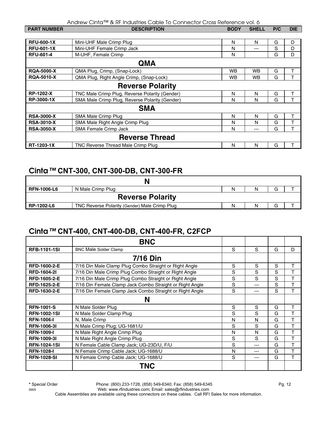| <b>PART NUMBER</b>      | <b>DESCRIPTION</b>                             | <b>BODY</b> | <b>SHELL</b> | P/C | <b>DIE</b> |  |
|-------------------------|------------------------------------------------|-------------|--------------|-----|------------|--|
|                         |                                                |             |              |     |            |  |
| <b>RFU-600-1X</b>       | Mini-UHF Male Crimp Plug                       | N           | N            | G   | D          |  |
| <b>RFU-601-1X</b>       | Mini-UHF Female Crimp Jack                     | N           | ---          | S   | D          |  |
| <b>RFU-601-4</b>        | M-UHF, Female Crimp                            | N           |              | G   | D          |  |
| <b>QMA</b>              |                                                |             |              |     |            |  |
| <b>RQA-5000-X</b>       | QMA Plug, Crimp, (Snap-Lock)                   | <b>WB</b>   | <b>WB</b>    | G   | T          |  |
| <b>RQA-5010-X</b>       | QMA Plug, Right Angle Crimp, (Snap-Lock)       | WB          | WB           | G   |            |  |
| <b>Reverse Polarity</b> |                                                |             |              |     |            |  |
| <b>RP-1202-X</b>        | TNC Male Crimp Plug, Reverse Polarity (Gender) | N           | N            | G   | T          |  |
| RP-3000-1X              | SMA Male Crimp Plug, Reverse Polarity (Gender) | N           | N            | G   |            |  |
| <b>SMA</b>              |                                                |             |              |     |            |  |
| <b>RSA-3000-X</b>       | SMA Male Crimp Plug                            | N           | N            | G   | T          |  |
| <b>RSA-3010-X</b>       | SMA Male Right Angle Crimp Plug                | N           | N            | G   | т          |  |
| <b>RSA-3050-X</b>       | SMA Female Crimp Jack                          | N           | $---$        | G   | T          |  |
| <b>Reverse Thread</b>   |                                                |             |              |     |            |  |
| RT-1203-1X              | TNC Reverse Thread Male Crimp Plug             | N           | N            | G   |            |  |

#### **Cinta***™* **CNT-300, CNT-300-DB, CNT-300-FR**

| <b>RFN-1006-L6</b>      | N Male Crimp Plug                             | Ν | N |    |  |
|-------------------------|-----------------------------------------------|---|---|----|--|
| <b>Reverse Polarity</b> |                                               |   |   |    |  |
| RP-1202-L6              | TNC Reverse Polarity (Gender) Male Crimp Plug | N | N | لت |  |

#### **Cinta***™* **CNT-400, CNT-400-DB, CNT-400-FR, C2FCP**

|                     | <b>BNC</b>                                               |   |     |   |   |
|---------------------|----------------------------------------------------------|---|-----|---|---|
| <b>RFB-1101-1SI</b> | <b>BNC Male Solder Clamp</b>                             | S | S   | G | D |
|                     | <b>7/16 Din</b>                                          |   |     |   |   |
| <b>RFD-1600-2-E</b> | 7/16 Din Male Clamp Plug Combo Straight or Right Angle   | S | S   | S | т |
| <b>RFD-1604-21</b>  | 7/16 Din Male Crimp Plug Combo Straight or Right Angle   | S | S   | S | Т |
| <b>RFD-1605-2-E</b> | 7/16 Din Male Crimp Plug Combo Straight or Right Angle   | S | S   | S | T |
| RFD-1625-2-E        | 7/16 Din Female Clamp Jack Combo Straight or Right Angle | S | --- | S | т |
| RFD-1630-2-E        | 7/16 Din Female Clamp Jack Combo Straight or Right Angle | S | --- | S | т |
|                     | N                                                        |   |     |   |   |
| <b>RFN-1001-S</b>   | N Male Solder Plug                                       | S | S   | G | т |
| <b>RFN-1002-1SI</b> | N Male Solder Clamp Plug                                 | S | S   | G |   |
| <b>RFN-1006-I</b>   | N. Male Crimp                                            | N | N   | G | т |
| <b>RFN-1006-31</b>  | N Male Crimp Plug; UG-1681/U                             | S | S   | G | т |
| <b>RFN-1009-I</b>   | N Male Right Angle Crimp Plug                            | N | N   | G | т |
| <b>RFN-1009-31</b>  | N Male Right Angle Crimp Plug                            | S | S   | G | Т |
| <b>RFN-1024-1SI</b> | N Female Cable Clamp Jack; UG-23D/U, F/U                 | S | --- | G | Т |
| <b>RFN-1028-I</b>   | N Female Crimp Cable Jack; UG-1688/U                     | N | --- | G | Т |
| <b>RFN-1028-SI</b>  | N Female Crimp Cable Jack; UG-1688/U                     | S | --- | G | т |
|                     | TNC                                                      |   |     |   |   |